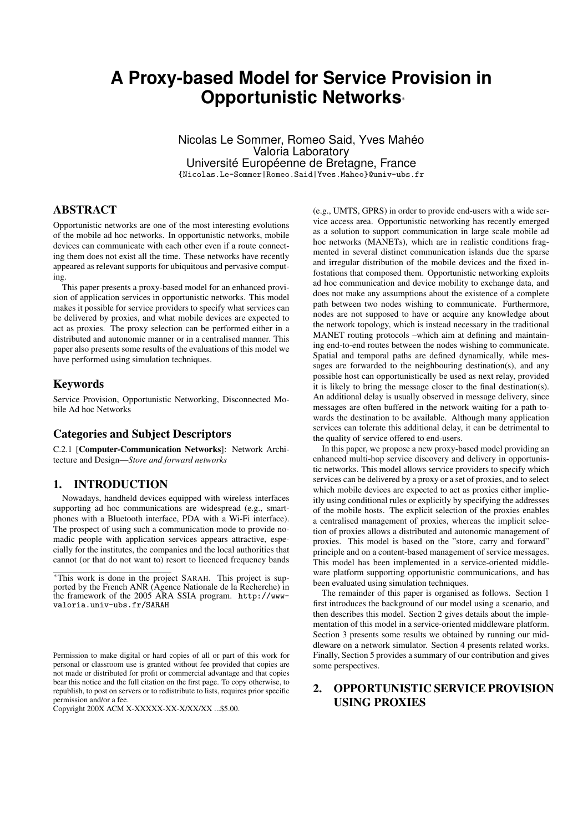# **A Proxy-based Model for Service Provision in Opportunistic Networks**<sup>∗</sup>

Nicolas Le Sommer, Romeo Said, Yves Mahéo Valoria Laboratory Université Européenne de Bretagne, France {Nicolas.Le-Sommer|Romeo.Said|Yves.Maheo}@univ-ubs.fr

## ABSTRACT

Opportunistic networks are one of the most interesting evolutions of the mobile ad hoc networks. In opportunistic networks, mobile devices can communicate with each other even if a route connecting them does not exist all the time. These networks have recently appeared as relevant supports for ubiquitous and pervasive computing.

This paper presents a proxy-based model for an enhanced provision of application services in opportunistic networks. This model makes it possible for service providers to specify what services can be delivered by proxies, and what mobile devices are expected to act as proxies. The proxy selection can be performed either in a distributed and autonomic manner or in a centralised manner. This paper also presents some results of the evaluations of this model we have performed using simulation techniques.

### Keywords

Service Provision, Opportunistic Networking, Disconnected Mobile Ad hoc Networks

#### Categories and Subject Descriptors

C.2.1 [Computer-Communication Networks]: Network Architecture and Design—*Store and forward networks*

## 1. INTRODUCTION

Nowadays, handheld devices equipped with wireless interfaces supporting ad hoc communications are widespread (e.g., smartphones with a Bluetooth interface, PDA with a Wi-Fi interface). The prospect of using such a communication mode to provide nomadic people with application services appears attractive, especially for the institutes, the companies and the local authorities that cannot (or that do not want to) resort to licenced frequency bands

(e.g., UMTS, GPRS) in order to provide end-users with a wide service access area. Opportunistic networking has recently emerged as a solution to support communication in large scale mobile ad hoc networks (MANETs), which are in realistic conditions fragmented in several distinct communication islands due the sparse and irregular distribution of the mobile devices and the fixed infostations that composed them. Opportunistic networking exploits ad hoc communication and device mobility to exchange data, and does not make any assumptions about the existence of a complete path between two nodes wishing to communicate. Furthermore, nodes are not supposed to have or acquire any knowledge about the network topology, which is instead necessary in the traditional MANET routing protocols –which aim at defining and maintaining end-to-end routes between the nodes wishing to communicate. Spatial and temporal paths are defined dynamically, while messages are forwarded to the neighbouring destination(s), and any possible host can opportunistically be used as next relay, provided it is likely to bring the message closer to the final destination(s). An additional delay is usually observed in message delivery, since messages are often buffered in the network waiting for a path towards the destination to be available. Although many application services can tolerate this additional delay, it can be detrimental to the quality of service offered to end-users.

In this paper, we propose a new proxy-based model providing an enhanced multi-hop service discovery and delivery in opportunistic networks. This model allows service providers to specify which services can be delivered by a proxy or a set of proxies, and to select which mobile devices are expected to act as proxies either implicitly using conditional rules or explicitly by specifying the addresses of the mobile hosts. The explicit selection of the proxies enables a centralised management of proxies, whereas the implicit selection of proxies allows a distributed and autonomic management of proxies. This model is based on the "store, carry and forward" principle and on a content-based management of service messages. This model has been implemented in a service-oriented middleware platform supporting opportunistic communications, and has been evaluated using simulation techniques.

The remainder of this paper is organised as follows. Section 1 first introduces the background of our model using a scenario, and then describes this model. Section 2 gives details about the implementation of this model in a service-oriented middleware platform. Section 3 presents some results we obtained by running our middleware on a network simulator. Section 4 presents related works. Finally, Section 5 provides a summary of our contribution and gives some perspectives.

# 2. OPPORTUNISTIC SERVICE PROVISION USING PROXIES

<sup>∗</sup>This work is done in the project SARAH. This project is supported by the French ANR (Agence Nationale de la Recherche) in the framework of the 2005 ARA SSIA program. http://wwwvaloria.univ-ubs.fr/SARAH

Permission to make digital or hard copies of all or part of this work for personal or classroom use is granted without fee provided that copies are not made or distributed for profit or commercial advantage and that copies bear this notice and the full citation on the first page. To copy otherwise, to republish, to post on servers or to redistribute to lists, requires prior specific permission and/or a fee.

Copyright 200X ACM X-XXXXX-XX-X/XX/XX ...\$5.00.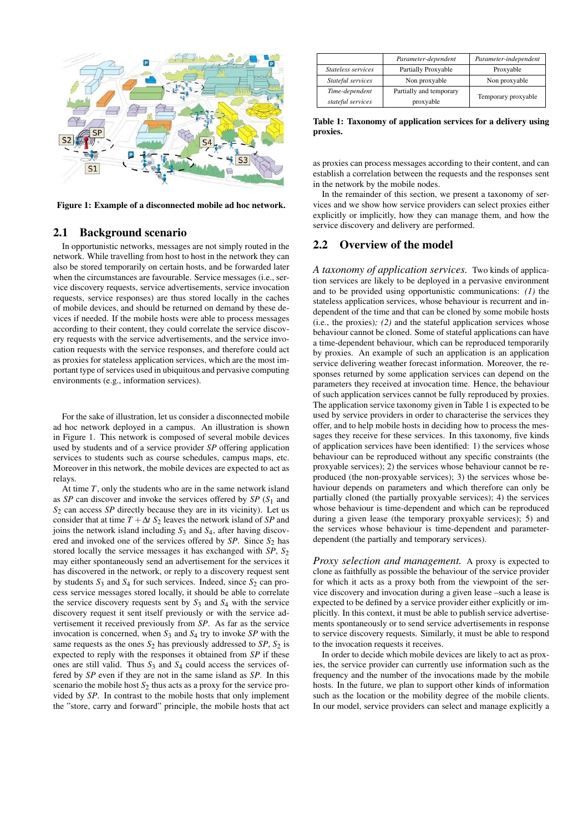

Figure 1: Example of a disconnected mobile ad hoc network.

## 2.1 Background scenario

In opportunistic networks, messages are not simply routed in the network. While travelling from host to host in the network they can also be stored temporarily on certain hosts, and be forwarded later when the circumstances are favourable. Service messages (i.e., service discovery requests, service advertisements, service invocation requests, service responses) are thus stored locally in the caches of mobile devices, and should be returned on demand by these devices if needed. If the mobile hosts were able to process messages according to their content, they could correlate the service discovery requests with the service advertisements, and the service invocation requests with the service responses, and therefore could act as proxies for stateless application services, which are the most important type of services used in ubiquitous and pervasive computing environments (e.g., information services).

For the sake of illustration, let us consider a disconnected mobile ad hoc network deployed in a campus. An illustration is shown in Figure 1. This network is composed of several mobile devices used by students and of a service provider *SP* offering application services to students such as course schedules, campus maps, etc. Moreover in this network, the mobile devices are expected to act as relays.

At time *T*, only the students who are in the same network island as *SP* can discover and invoke the services offered by *SP* (*S*<sup>1</sup> and *S*<sup>2</sup> can access *SP* directly because they are in its vicinity). Let us consider that at time  $T + \Delta t S_2$  leaves the network island of *SP* and joins the network island including *S*<sup>3</sup> and *S*4, after having discovered and invoked one of the services offered by *SP*. Since *S*<sub>2</sub> has stored locally the service messages it has exchanged with *SP*,  $S_2$ may either spontaneously send an advertisement for the services it has discovered in the network, or reply to a discovery request sent by students  $S_3$  and  $S_4$  for such services. Indeed, since  $S_2$  can process service messages stored locally, it should be able to correlate the service discovery requests sent by  $S_3$  and  $S_4$  with the service discovery request it sent itself previously or with the service advertisement it received previously from *SP*. As far as the service invocation is concerned, when  $S_3$  and  $S_4$  try to invoke  $SP$  with the same requests as the ones  $S_2$  has previously addressed to  $SP$ ,  $S_2$  is expected to reply with the responses it obtained from *SP* if these ones are still valid. Thus *S*<sup>3</sup> and *S*<sup>4</sup> could access the services offered by *SP* even if they are not in the same island as *SP*. In this scenario the mobile host  $S_2$  thus acts as a proxy for the service provided by *SP*. In contrast to the mobile hosts that only implement the "store, carry and forward" principle, the mobile hosts that act

|                    | Parameter-dependent     | Parameter-independent |  |
|--------------------|-------------------------|-----------------------|--|
| Stateless services | Partially Proxyable     | Proxyable             |  |
| Stateful services  | Non proxyable           | Non proxyable         |  |
| Time-dependent     | Partially and temporary | Temporary proxyable   |  |
| stateful services  | proxyable               |                       |  |

Table 1: Taxonomy of application services for a delivery using proxies.

as proxies can process messages according to their content, and can establish a correlation between the requests and the responses sent in the network by the mobile nodes.

In the remainder of this section, we present a taxonomy of services and we show how service providers can select proxies either explicitly or implicitly, how they can manage them, and how the service discovery and delivery are performed.

## 2.2 Overview of the model

*A taxonomy of application services.* Two kinds of application services are likely to be deployed in a pervasive environment and to be provided using opportunistic communications: *(1)* the stateless application services, whose behaviour is recurrent and independent of the time and that can be cloned by some mobile hosts (i.e., the proxies)*; (2)* and the stateful application services whose behaviour cannot be cloned. Some of stateful applications can have a time-dependent behaviour, which can be reproduced temporarily by proxies. An example of such an application is an application service delivering weather forecast information. Moreover, the responses returned by some application services can depend on the parameters they received at invocation time. Hence, the behaviour of such application services cannot be fully reproduced by proxies. The application service taxonomy given in Table 1 is expected to be used by service providers in order to characterise the services they offer, and to help mobile hosts in deciding how to process the messages they receive for these services. In this taxonomy, five kinds of application services have been identified: 1) the services whose behaviour can be reproduced without any specific constraints (the proxyable services); 2) the services whose behaviour cannot be reproduced (the non-proxyable services); 3) the services whose behaviour depends on parameters and which therefore can only be partially cloned (the partially proxyable services); 4) the services whose behaviour is time-dependent and which can be reproduced during a given lease (the temporary proxyable services); 5) and the services whose behaviour is time-dependent and parameterdependent (the partially and temporary services).

*Proxy selection and management.* A proxy is expected to clone as faithfully as possible the behaviour of the service provider for which it acts as a proxy both from the viewpoint of the service discovery and invocation during a given lease –such a lease is expected to be defined by a service provider either explicitly or implicitly. In this context, it must be able to publish service advertisements spontaneously or to send service advertisements in response to service discovery requests. Similarly, it must be able to respond to the invocation requests it receives.

In order to decide which mobile devices are likely to act as proxies, the service provider can currently use information such as the frequency and the number of the invocations made by the mobile hosts. In the future, we plan to support other kinds of information such as the location or the mobility degree of the mobile clients. In our model, service providers can select and manage explicitly a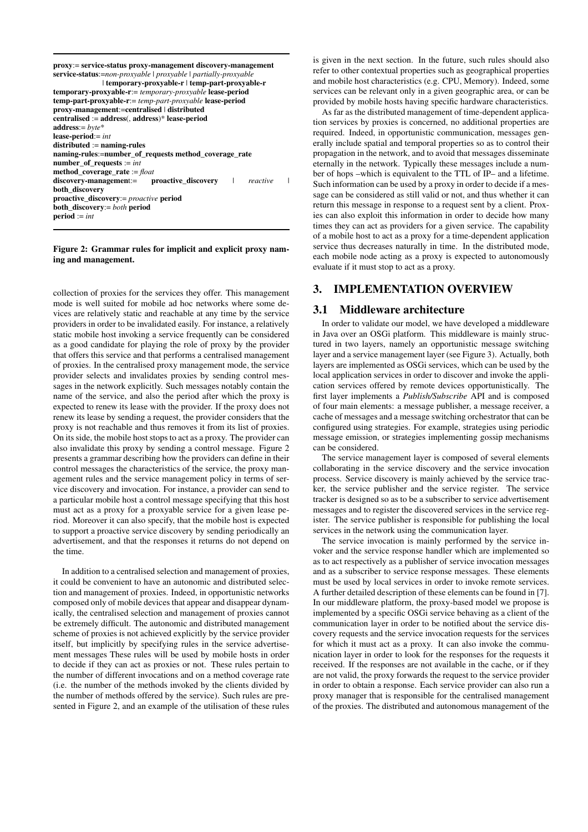| proxy:= service-status proxy-management discovery-management<br>service-status:=non-proxyable \ proxyable \ partially-proxyable<br>  temporary-proxyable-r   temp-part-proxyable-r |  |
|------------------------------------------------------------------------------------------------------------------------------------------------------------------------------------|--|
| <b>temporary-proxyable-r</b> := temporary-proxyable <b>lease-period</b>                                                                                                            |  |
| temp-part-proxyable-r:= temp-part-proxyable lease-period                                                                                                                           |  |
| proxy-management:=centralised   distributed                                                                                                                                        |  |
| centralised := address(, address)* lease-period                                                                                                                                    |  |
| address:= $byte*$                                                                                                                                                                  |  |
| <b>lease-period</b> := int                                                                                                                                                         |  |
| $\mathbf{distributed} := \mathbf{naming\text{-}rules}$                                                                                                                             |  |
| naming-rules:=number_of_requests method_coverage_rate                                                                                                                              |  |
| $number_of\_requests := int$                                                                                                                                                       |  |
| method_coverage_rate := float                                                                                                                                                      |  |
| discovery-management:= proactive discovery   reactive                                                                                                                              |  |
| both_discoverv                                                                                                                                                                     |  |
| <b>proactive_discovery:</b> = <i>proactive</i> <b>period</b>                                                                                                                       |  |
| <b>both discovery:</b> = both period                                                                                                                                               |  |
| $period := int$                                                                                                                                                                    |  |
|                                                                                                                                                                                    |  |

#### Figure 2: Grammar rules for implicit and explicit proxy naming and management.

collection of proxies for the services they offer. This management mode is well suited for mobile ad hoc networks where some devices are relatively static and reachable at any time by the service providers in order to be invalidated easily. For instance, a relatively static mobile host invoking a service frequently can be considered as a good candidate for playing the role of proxy by the provider that offers this service and that performs a centralised management of proxies. In the centralised proxy management mode, the service provider selects and invalidates proxies by sending control messages in the network explicitly. Such messages notably contain the name of the service, and also the period after which the proxy is expected to renew its lease with the provider. If the proxy does not renew its lease by sending a request, the provider considers that the proxy is not reachable and thus removes it from its list of proxies. On its side, the mobile host stops to act as a proxy. The provider can also invalidate this proxy by sending a control message. Figure 2 presents a grammar describing how the providers can define in their control messages the characteristics of the service, the proxy management rules and the service management policy in terms of service discovery and invocation. For instance, a provider can send to a particular mobile host a control message specifying that this host must act as a proxy for a proxyable service for a given lease period. Moreover it can also specify, that the mobile host is expected to support a proactive service discovery by sending periodically an advertisement, and that the responses it returns do not depend on the time.

In addition to a centralised selection and management of proxies, it could be convenient to have an autonomic and distributed selection and management of proxies. Indeed, in opportunistic networks composed only of mobile devices that appear and disappear dynamically, the centralised selection and management of proxies cannot be extremely difficult. The autonomic and distributed management scheme of proxies is not achieved explicitly by the service provider itself, but implicitly by specifying rules in the service advertisement messages These rules will be used by mobile hosts in order to decide if they can act as proxies or not. These rules pertain to the number of different invocations and on a method coverage rate (i.e. the number of the methods invoked by the clients divided by the number of methods offered by the service). Such rules are presented in Figure 2, and an example of the utilisation of these rules

is given in the next section. In the future, such rules should also refer to other contextual properties such as geographical properties and mobile host characteristics (e.g. CPU, Memory). Indeed, some services can be relevant only in a given geographic area, or can be provided by mobile hosts having specific hardware characteristics.

As far as the distributed management of time-dependent application services by proxies is concerned, no additional properties are required. Indeed, in opportunistic communication, messages generally include spatial and temporal properties so as to control their propagation in the network, and to avoid that messages disseminate eternally in the network. Typically these messages include a number of hops –which is equivalent to the TTL of IP– and a lifetime. Such information can be used by a proxy in order to decide if a message can be considered as still valid or not, and thus whether it can return this message in response to a request sent by a client. Proxies can also exploit this information in order to decide how many times they can act as providers for a given service. The capability of a mobile host to act as a proxy for a time-dependent application service thus decreases naturally in time. In the distributed mode, each mobile node acting as a proxy is expected to autonomously evaluate if it must stop to act as a proxy.

## 3. IMPLEMENTATION OVERVIEW

#### 3.1 Middleware architecture

In order to validate our model, we have developed a middleware in Java over an OSGi platform. This middleware is mainly structured in two layers, namely an opportunistic message switching layer and a service management layer (see Figure 3). Actually, both layers are implemented as OSGi services, which can be used by the local application services in order to discover and invoke the application services offered by remote devices opportunistically. The first layer implements a *Publish/Subscribe* API and is composed of four main elements: a message publisher, a message receiver, a cache of messages and a message switching orchestrator that can be configured using strategies. For example, strategies using periodic message emission, or strategies implementing gossip mechanisms can be considered.

The service management layer is composed of several elements collaborating in the service discovery and the service invocation process. Service discovery is mainly achieved by the service tracker, the service publisher and the service register. The service tracker is designed so as to be a subscriber to service advertisement messages and to register the discovered services in the service register. The service publisher is responsible for publishing the local services in the network using the communication layer.

The service invocation is mainly performed by the service invoker and the service response handler which are implemented so as to act respectively as a publisher of service invocation messages and as a subscriber to service response messages. These elements must be used by local services in order to invoke remote services. A further detailed description of these elements can be found in [7]. In our middleware platform, the proxy-based model we propose is implemented by a specific OSGi service behaving as a client of the communication layer in order to be notified about the service discovery requests and the service invocation requests for the services for which it must act as a proxy. It can also invoke the communication layer in order to look for the responses for the requests it received. If the responses are not available in the cache, or if they are not valid, the proxy forwards the request to the service provider in order to obtain a response. Each service provider can also run a proxy manager that is responsible for the centralised management of the proxies. The distributed and autonomous management of the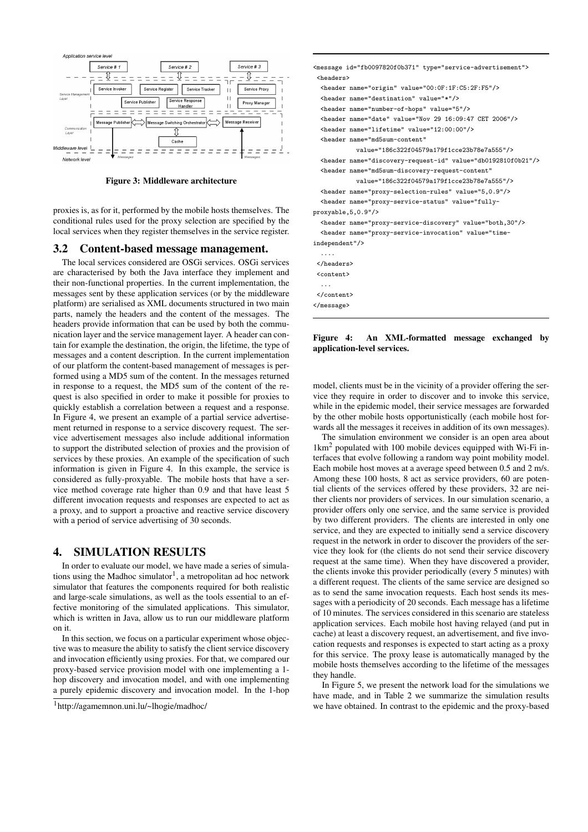

Figure 3: Middleware architecture

proxies is, as for it, performed by the mobile hosts themselves. The conditional rules used for the proxy selection are specified by the local services when they register themselves in the service register.

#### 3.2 Content-based message management.

The local services considered are OSGi services. OSGi services are characterised by both the Java interface they implement and their non-functional properties. In the current implementation, the messages sent by these application services (or by the middleware platform) are serialised as XML documents structured in two main parts, namely the headers and the content of the messages. The headers provide information that can be used by both the communication layer and the service management layer. A header can contain for example the destination, the origin, the lifetime, the type of messages and a content description. In the current implementation of our platform the content-based management of messages is performed using a MD5 sum of the content. In the messages returned in response to a request, the MD5 sum of the content of the request is also specified in order to make it possible for proxies to quickly establish a correlation between a request and a response. In Figure 4, we present an example of a partial service advertisement returned in response to a service discovery request. The service advertisement messages also include additional information to support the distributed selection of proxies and the provision of services by these proxies. An example of the specification of such information is given in Figure 4. In this example, the service is considered as fully-proxyable. The mobile hosts that have a service method coverage rate higher than 0.9 and that have least 5 different invocation requests and responses are expected to act as a proxy, and to support a proactive and reactive service discovery with a period of service advertising of 30 seconds.

#### 4. SIMULATION RESULTS

In order to evaluate our model, we have made a series of simulations using the Madhoc simulator<sup>1</sup>, a metropolitan ad hoc network simulator that features the components required for both realistic and large-scale simulations, as well as the tools essential to an effective monitoring of the simulated applications. This simulator, which is written in Java, allow us to run our middleware platform on it.

In this section, we focus on a particular experiment whose objective was to measure the ability to satisfy the client service discovery and invocation efficiently using proxies. For that, we compared our proxy-based service provision model with one implementing a 1 hop discovery and invocation model, and with one implementing a purely epidemic discovery and invocation model. In the 1-hop <message id="fb0097820f0b371" type="service-advertisement"> <headers> <header name="origin" value="00:0F:1F:C5:2F:F5"/> <header name="destination" value="\*"/> <header name="number-of-hops" value="5"/> <header name="date" value="Nov 29 16:09:47 CET 2006"/> <header name="lifetime" value="12:00:00"/> <header name="md5sum-content" value="186c322f04579a179f1cce23b78e7a555"/> <header name="discovery-request-id" value="db0192810f0b21"/> <header name="md5sum-discovery-request-content" value="186c322f04579a179f1cce23b78e7a555"/> <header name="proxy-selection-rules" value="5,0.9"/> <header name="proxy-service-status" value="fullyproxyable,5,0.9"/> <header name="proxy-service-discovery" value="both,30"/> <header name="proxy-service-invocation" value="timeindependent"/> .... </headers> <content> ... </content> </message>

Figure 4: An XML-formatted message exchanged by application-level services.

model, clients must be in the vicinity of a provider offering the service they require in order to discover and to invoke this service, while in the epidemic model, their service messages are forwarded by the other mobile hosts opportunistically (each mobile host forwards all the messages it receives in addition of its own messages).

The simulation environment we consider is an open area about 1km<sup>2</sup> populated with 100 mobile devices equipped with Wi-Fi interfaces that evolve following a random way point mobility model. Each mobile host moves at a average speed between 0.5 and 2 m/s. Among these 100 hosts, 8 act as service providers, 60 are potential clients of the services offered by these providers, 32 are neither clients nor providers of services. In our simulation scenario, a provider offers only one service, and the same service is provided by two different providers. The clients are interested in only one service, and they are expected to initially send a service discovery request in the network in order to discover the providers of the service they look for (the clients do not send their service discovery request at the same time). When they have discovered a provider, the clients invoke this provider periodically (every 5 minutes) with a different request. The clients of the same service are designed so as to send the same invocation requests. Each host sends its messages with a periodicity of 20 seconds. Each message has a lifetime of 10 minutes. The services considered in this scenario are stateless application services. Each mobile host having relayed (and put in cache) at least a discovery request, an advertisement, and five invocation requests and responses is expected to start acting as a proxy for this service. The proxy lease is automatically managed by the mobile hosts themselves according to the lifetime of the messages they handle.

In Figure 5, we present the network load for the simulations we have made, and in Table 2 we summarize the simulation results we have obtained. In contrast to the epidemic and the proxy-based

<sup>1</sup>http://agamemnon.uni.lu/~lhogie/madhoc/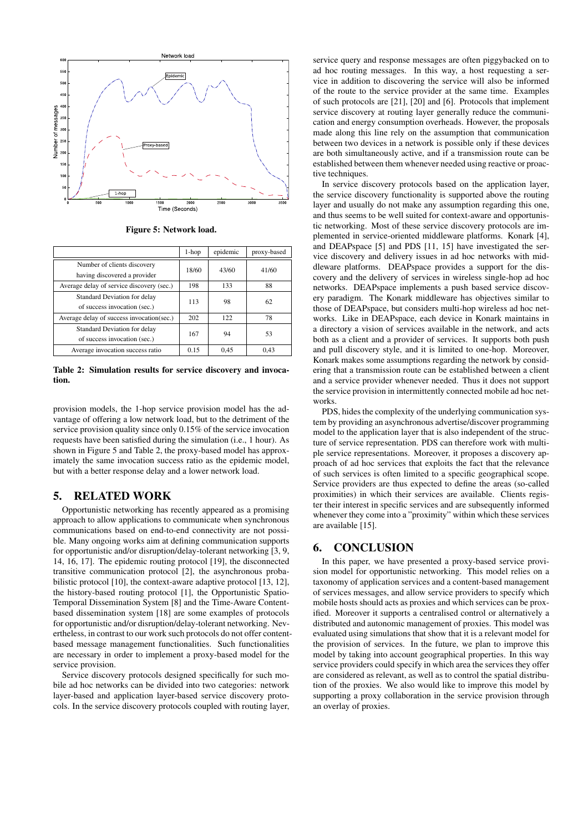

Figure 5: Network load.

|                                           | $1-hop$ | epidemic | proxy-based |
|-------------------------------------------|---------|----------|-------------|
| Number of clients discovery               | 18/60   | 43/60    | 41/60       |
| having discovered a provider              |         |          |             |
| Average delay of service discovery (sec.) | 198     | 133      | 88          |
| Standard Deviation for delay              | 113     | 98       | 62          |
| of success invocation (sec.)              |         |          |             |
| Average delay of success invocation(sec.) | 202     | 122      | 78          |
| Standard Deviation for delay              | 167     | 94       | 53          |
| of success invocation (sec.)              |         |          |             |
| Average invocation success ratio          | 0.15    | 0,45     | 0.43        |

Table 2: Simulation results for service discovery and invocation.

provision models, the 1-hop service provision model has the advantage of offering a low network load, but to the detriment of the service provision quality since only 0.15% of the service invocation requests have been satisfied during the simulation (i.e., 1 hour). As shown in Figure 5 and Table 2, the proxy-based model has approximately the same invocation success ratio as the epidemic model, but with a better response delay and a lower network load.

## 5. RELATED WORK

Opportunistic networking has recently appeared as a promising approach to allow applications to communicate when synchronous communications based on end-to-end connectivity are not possible. Many ongoing works aim at defining communication supports for opportunistic and/or disruption/delay-tolerant networking [3, 9, 14, 16, 17]. The epidemic routing protocol [19], the disconnected transitive communication protocol [2], the asynchronous probabilistic protocol [10], the context-aware adaptive protocol [13, 12], the history-based routing protocol [1], the Opportunistic Spatio-Temporal Dissemination System [8] and the Time-Aware Contentbased dissemination system [18] are some examples of protocols for opportunistic and/or disruption/delay-tolerant networking. Nevertheless, in contrast to our work such protocols do not offer contentbased message management functionalities. Such functionalities are necessary in order to implement a proxy-based model for the service provision.

Service discovery protocols designed specifically for such mobile ad hoc networks can be divided into two categories: network layer-based and application layer-based service discovery protocols. In the service discovery protocols coupled with routing layer,

service query and response messages are often piggybacked on to ad hoc routing messages. In this way, a host requesting a service in addition to discovering the service will also be informed of the route to the service provider at the same time. Examples of such protocols are [21], [20] and [6]. Protocols that implement service discovery at routing layer generally reduce the communication and energy consumption overheads. However, the proposals made along this line rely on the assumption that communication between two devices in a network is possible only if these devices are both simultaneously active, and if a transmission route can be established between them whenever needed using reactive or proactive techniques.

In service discovery protocols based on the application layer, the service discovery functionality is supported above the routing layer and usually do not make any assumption regarding this one, and thus seems to be well suited for context-aware and opportunistic networking. Most of these service discovery protocols are implemented in service-oriented middleware platforms. Konark [4], and DEAPspace [5] and PDS [11, 15] have investigated the service discovery and delivery issues in ad hoc networks with middleware platforms. DEAPspace provides a support for the discovery and the delivery of services in wireless single-hop ad hoc networks. DEAPspace implements a push based service discovery paradigm. The Konark middleware has objectives similar to those of DEAPspace, but considers multi-hop wireless ad hoc networks. Like in DEAPspace, each device in Konark maintains in a directory a vision of services available in the network, and acts both as a client and a provider of services. It supports both push and pull discovery style, and it is limited to one-hop. Moreover, Konark makes some assumptions regarding the network by considering that a transmission route can be established between a client and a service provider whenever needed. Thus it does not support the service provision in intermittently connected mobile ad hoc networks.

PDS, hides the complexity of the underlying communication system by providing an asynchronous advertise/discover programming model to the application layer that is also independent of the structure of service representation. PDS can therefore work with multiple service representations. Moreover, it proposes a discovery approach of ad hoc services that exploits the fact that the relevance of such services is often limited to a specific geographical scope. Service providers are thus expected to define the areas (so-called proximities) in which their services are available. Clients register their interest in specific services and are subsequently informed whenever they come into a "proximity" within which these services are available [15].

## 6. CONCLUSION

In this paper, we have presented a proxy-based service provision model for opportunistic networking. This model relies on a taxonomy of application services and a content-based management of services messages, and allow service providers to specify which mobile hosts should acts as proxies and which services can be proxified. Moreover it supports a centralised control or alternatively a distributed and autonomic management of proxies. This model was evaluated using simulations that show that it is a relevant model for the provision of services. In the future, we plan to improve this model by taking into account geographical properties. In this way service providers could specify in which area the services they offer are considered as relevant, as well as to control the spatial distribution of the proxies. We also would like to improve this model by supporting a proxy collaboration in the service provision through an overlay of proxies.